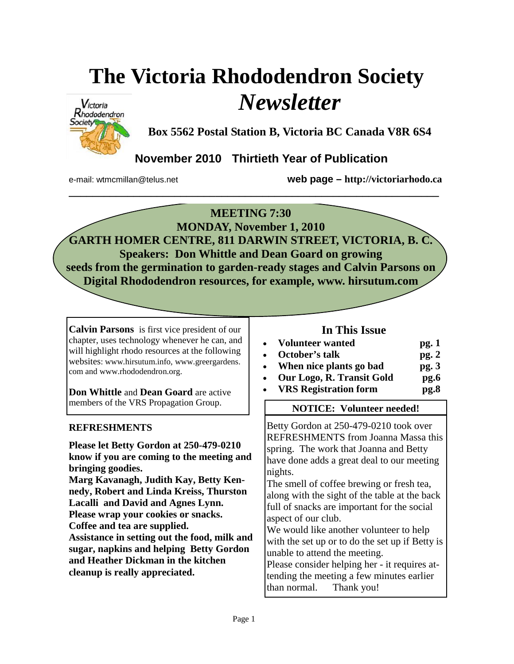### **The Victoria Rhododendron Society**  *Newsletter*



**Box 5562 Postal Station B, Victoria BC Canada V8R 6S4** 

**November 2010 Thirtieth Year of Publication** 

e-mail: wtmcmillan@telus.net **web page – http://victoriarhodo.ca**

#### **MEETING 7:30**

**\_\_\_\_\_\_\_\_\_\_\_\_\_\_\_\_\_\_\_\_\_\_\_\_\_\_\_\_\_\_\_\_\_\_\_\_\_\_\_\_\_\_\_\_\_\_\_\_\_\_\_\_\_\_\_\_\_\_\_\_\_\_\_** 

**MONDAY, November 1, 2010 GARTH HOMER CENTRE, 811 DARWIN STREET, VICTORIA, B. C. Speakers: Don Whittle and Dean Goard on growing seeds from the germination to garden-ready stages and Calvin Parsons on Digital Rhododendron resources, for example, www. hirsutum.com** 

**Calvin Parsons** is first vice president of our chapter, uses technology whenever he can, and will highlight rhodo resources at the following websites: www.hirsutum.info, www.greergardens. com and www.rhododendron.org.

**Don Whittle** and **Dean Goard** are active members of the VRS Propagation Group.<br>
NOTICE: Volunteer needed!

#### **REFRESHMENTS**

**Please let Betty Gordon at 250-479-0210 know if you are coming to the meeting and bringing goodies. Marg Kavanagh, Judith Kay, Betty Kennedy, Robert and Linda Kreiss, Thurston Lacalli and David and Agnes Lynn. Please wrap your cookies or snacks. Coffee and tea are supplied. Assistance in setting out the food, milk and sugar, napkins and helping Betty Gordon and Heather Dickman in the kitchen cleanup is really appreciated.** 

#### **In This Issue**

| • Volunteer wanted        | pg.1 |
|---------------------------|------|
| • October's talk          | pg.2 |
| • When nice plants go bad | pg.3 |

- **Our Logo, R. Transit Gold pg.6**
	- **VRS Registration form pg.8**

Betty Gordon at 250-479-0210 took over REFRESHMENTS from Joanna Massa this spring. The work that Joanna and Betty have done adds a great deal to our meeting nights.

The smell of coffee brewing or fresh tea, along with the sight of the table at the back full of snacks are important for the social aspect of our club.

We would like another volunteer to help with the set up or to do the set up if Betty is unable to attend the meeting.

Please consider helping her - it requires attending the meeting a few minutes earlier than normal. Thank you!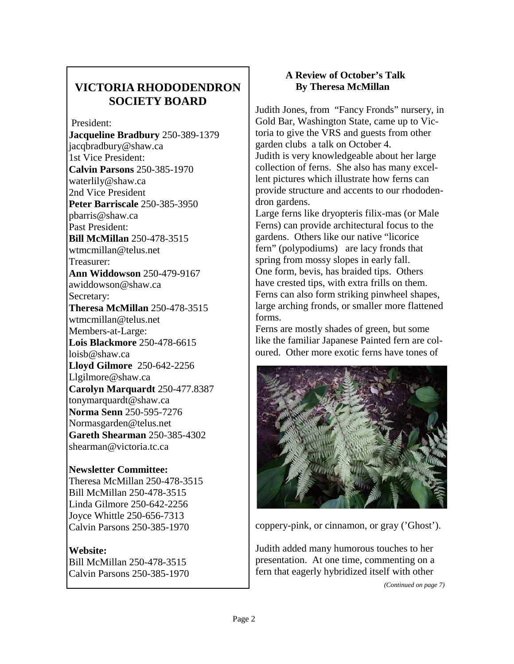#### **VICTORIA RHODODENDRON SOCIETY BOARD**

President:

**Jacqueline Bradbury** 250-389-1379 jacqbradbury@shaw.ca 1st Vice President: **Calvin Parsons** 250-385-1970 waterlily@shaw.ca 2nd Vice President **Peter Barriscale** 250-385-3950 pbarris@shaw.ca Past President: **Bill McMillan** 250-478-3515 wtmcmillan@telus.net Treasurer: **Ann Widdowson** 250-479-9167 awiddowson@shaw.ca Secretary: **Theresa McMillan** 250-478-3515 wtmcmillan@telus.net Members-at-Large: **Lois Blackmore** 250-478-6615 loisb@shaw.ca **Lloyd Gilmore** 250-642-2256 Llgilmore@shaw.ca **Carolyn Marquardt** 250-477.8387 tonymarquardt@shaw.ca **Norma Senn** 250-595-7276 Normasgarden@telus.net **Gareth Shearman** 250-385-4302 shearman@victoria.tc.ca

#### **Newsletter Committee:**

Theresa McMillan 250-478-3515 Bill McMillan 250-478-3515 Linda Gilmore 250-642-2256 Joyce Whittle 250-656-7313 Calvin Parsons 250-385-1970

#### **Website:**

Bill McMillan 250-478-3515 Calvin Parsons 250-385-1970

#### **A Review of October's Talk By Theresa McMillan**

Judith Jones, from "Fancy Fronds" nursery, in Gold Bar, Washington State, came up to Victoria to give the VRS and guests from other garden clubs a talk on October 4. Judith is very knowledgeable about her large collection of ferns. She also has many excellent pictures which illustrate how ferns can provide structure and accents to our rhododendron gardens.

Large ferns like dryopteris filix-mas (or Male Ferns) can provide architectural focus to the gardens. Others like our native "licorice fern" (polypodiums) are lacy fronds that spring from mossy slopes in early fall. One form, bevis, has braided tips. Others have crested tips, with extra frills on them. Ferns can also form striking pinwheel shapes, large arching fronds, or smaller more flattened forms.

Ferns are mostly shades of green, but some like the familiar Japanese Painted fern are coloured. Other more exotic ferns have tones of



coppery-pink, or cinnamon, or gray ('Ghost').

Judith added many humorous touches to her presentation. At one time, commenting on a fern that eagerly hybridized itself with other

*(Continued on page 7)*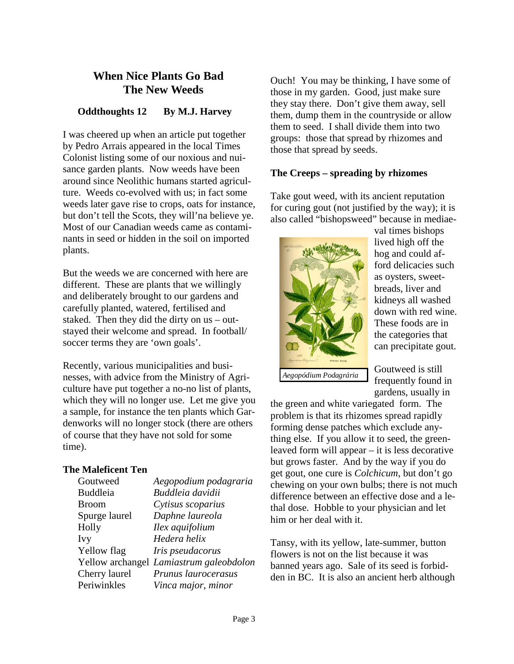#### **When Nice Plants Go Bad The New Weeds**

#### **Oddthoughts 12 By M.J. Harvey**

I was cheered up when an article put together by Pedro Arrais appeared in the local Times Colonist listing some of our noxious and nuisance garden plants. Now weeds have been around since Neolithic humans started agriculture. Weeds co-evolved with us; in fact some weeds later gave rise to crops, oats for instance, but don't tell the Scots, they will'na believe ye. Most of our Canadian weeds came as contaminants in seed or hidden in the soil on imported plants.

But the weeds we are concerned with here are different. These are plants that we willingly and deliberately brought to our gardens and carefully planted, watered, fertilised and staked. Then they did the dirty on us – outstayed their welcome and spread. In football/ soccer terms they are 'own goals'.

Recently, various municipalities and businesses, with advice from the Ministry of Agriculture have put together a no-no list of plants, which they will no longer use. Let me give you a sample, for instance the ten plants which Gardenworks will no longer stock (there are others of course that they have not sold for some time).

#### **The Maleficent Ten**

| Aegopodium podagraria                   |
|-----------------------------------------|
| Buddleia davidii                        |
| Cytisus scoparius                       |
| Daphne laureola                         |
| Ilex aquifolium                         |
| Hedera helix                            |
| Iris pseudacorus                        |
| Yellow archangel Lamiastrum galeobdolon |
| Prunus laurocerasus                     |
| Vinca major, minor                      |
|                                         |

Ouch! You may be thinking, I have some of those in my garden. Good, just make sure they stay there. Don't give them away, sell them, dump them in the countryside or allow them to seed. I shall divide them into two groups: those that spread by rhizomes and those that spread by seeds.

#### **The Creeps – spreading by rhizomes**

Take gout weed, with its ancient reputation for curing gout (not justified by the way); it is also called "bishopsweed" because in mediae-



val times bishops lived high off the hog and could afford delicacies such as oysters, sweetbreads, liver and kidneys all washed down with red wine. These foods are in the categories that can precipitate gout.

*Aegopódium Podagrária* 

Goutweed is still frequently found in gardens, usually in

the green and white variegated form. The problem is that its rhizomes spread rapidly forming dense patches which exclude anything else. If you allow it to seed, the greenleaved form will appear – it is less decorative but grows faster. And by the way if you do get gout, one cure is *Colchicum*, but don't go chewing on your own bulbs; there is not much difference between an effective dose and a lethal dose. Hobble to your physician and let him or her deal with it.

Tansy, with its yellow, late-summer, button flowers is not on the list because it was banned years ago. Sale of its seed is forbidden in BC. It is also an ancient herb although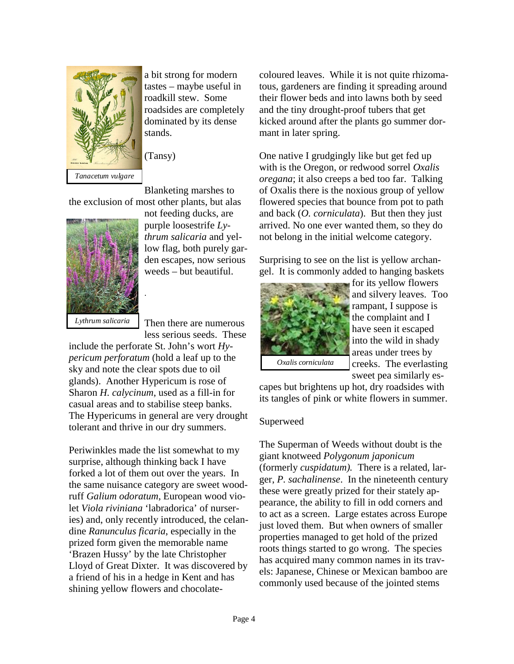

a bit strong for modern tastes – maybe useful in roadkill stew. Some roadsides are completely dominated by its dense stands.

(Tansy)

Blanketing marshes to the exclusion of most other plants, but alas

.



not feeding ducks, are purple loosestrife *Lythrum salicaria* and yellow flag, both purely garden escapes, now serious weeds – but beautiful.

*Lythrum salicaria* 

Then there are numerous less serious seeds. These

include the perforate St. John's wort *Hypericum perforatum* (hold a leaf up to the sky and note the clear spots due to oil glands). Another Hypericum is rose of Sharon *H. calycinum*, used as a fill-in for casual areas and to stabilise steep banks. The Hypericums in general are very drought tolerant and thrive in our dry summers.

Periwinkles made the list somewhat to my surprise, although thinking back I have forked a lot of them out over the years. In the same nuisance category are sweet woodruff *Galium odoratum*, European wood violet *Viola riviniana* 'labradorica' of nurseries) and, only recently introduced, the celandine *Ranunculus ficaria*, especially in the prized form given the memorable name 'Brazen Hussy' by the late Christopher Lloyd of Great Dixter. It was discovered by a friend of his in a hedge in Kent and has shining yellow flowers and chocolatecoloured leaves. While it is not quite rhizomatous, gardeners are finding it spreading around their flower beds and into lawns both by seed and the tiny drought-proof tubers that get kicked around after the plants go summer dormant in later spring.

One native I grudgingly like but get fed up with is the Oregon, or redwood sorrel *Oxalis oregana*; it also creeps a bed too far. Talking of Oxalis there is the noxious group of yellow flowered species that bounce from pot to path and back (*O. corniculata*). But then they just arrived. No one ever wanted them, so they do not belong in the initial welcome category.

Surprising to see on the list is yellow archangel. It is commonly added to hanging baskets



for its yellow flowers and silvery leaves. Too rampant, I suppose is the complaint and I have seen it escaped into the wild in shady areas under trees by creeks. The everlasting sweet pea similarly es-

*Oxalis corniculata* 

capes but brightens up hot, dry roadsides with its tangles of pink or white flowers in summer.

#### Superweed

The Superman of Weeds without doubt is the giant knotweed *Polygonum japonicum* (formerly *cuspidatum).* There is a related, larger, *P. sachalinense*. In the nineteenth century these were greatly prized for their stately appearance, the ability to fill in odd corners and to act as a screen. Large estates across Europe just loved them. But when owners of smaller properties managed to get hold of the prized roots things started to go wrong. The species has acquired many common names in its travels: Japanese, Chinese or Mexican bamboo are commonly used because of the jointed stems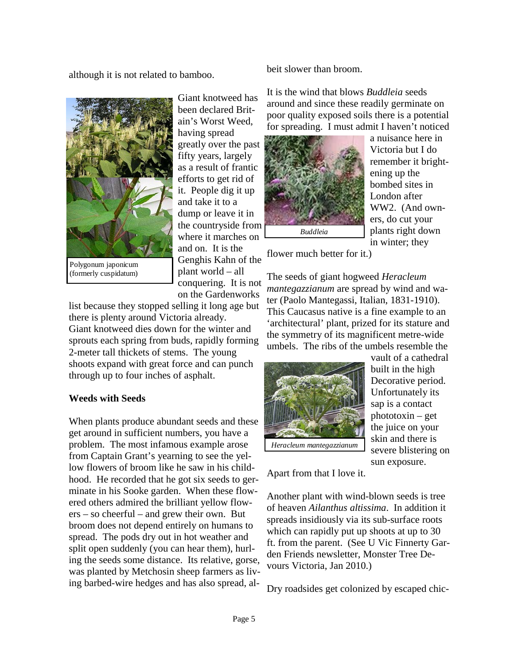although it is not related to bamboo.



Polygonum japonicum (formerly cuspidatum)

Giant knotweed has been declared Britain's Worst Weed, having spread greatly over the past fifty years, largely as a result of frantic efforts to get rid of it. People dig it up and take it to a dump or leave it in the countryside from where it marches on and on. It is the Genghis Kahn of the plant world – all conquering. It is not on the Gardenworks

list because they stopped selling it long age but there is plenty around Victoria already. Giant knotweed dies down for the winter and sprouts each spring from buds, rapidly forming 2-meter tall thickets of stems. The young shoots expand with great force and can punch through up to four inches of asphalt.

#### **Weeds with Seeds**

When plants produce abundant seeds and these get around in sufficient numbers, you have a problem. The most infamous example arose from Captain Grant's yearning to see the yellow flowers of broom like he saw in his childhood. He recorded that he got six seeds to germinate in his Sooke garden. When these flowered others admired the brilliant yellow flowers – so cheerful – and grew their own. But broom does not depend entirely on humans to spread. The pods dry out in hot weather and split open suddenly (you can hear them), hurling the seeds some distance. Its relative, gorse, was planted by Metchosin sheep farmers as living barbed-wire hedges and has also spread, albeit slower than broom.

It is the wind that blows *Buddleia* seeds around and since these readily germinate on poor quality exposed soils there is a potential for spreading. I must admit I haven't noticed



a nuisance here in Victoria but I do remember it brightening up the bombed sites in London after WW2. (And owners, do cut your plants right down in winter; they

flower much better for it.)

The seeds of giant hogweed *Heracleum mantegazzianum* are spread by wind and water (Paolo Mantegassi, Italian, 1831-1910). This Caucasus native is a fine example to an 'architectural' plant, prized for its stature and the symmetry of its magnificent metre-wide umbels. The ribs of the umbels resemble the



vault of a cathedral built in the high Decorative period. Unfortunately its sap is a contact phototoxin – get the juice on your skin and there is severe blistering on sun exposure.

Apart from that I love it.

Another plant with wind-blown seeds is tree of heaven *Ailanthus altissima*. In addition it spreads insidiously via its sub-surface roots which can rapidly put up shoots at up to 30 ft. from the parent. (See U Vic Finnerty Garden Friends newsletter, Monster Tree Devours Victoria, Jan 2010.)

Dry roadsides get colonized by escaped chic-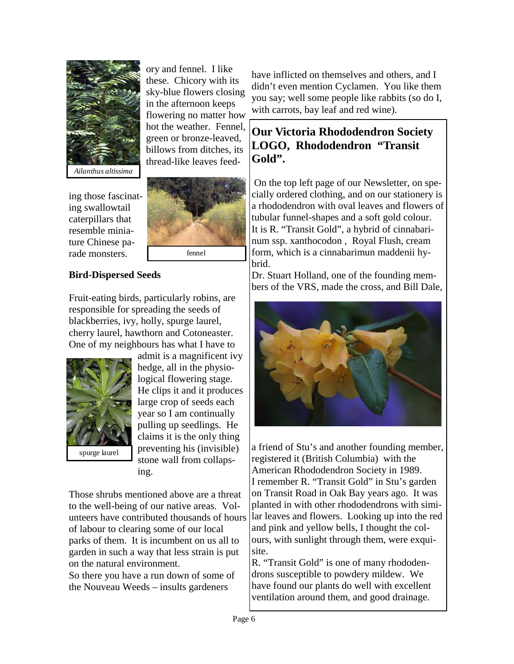

ory and fennel. I like these. Chicory with its sky-blue flowers closing in the afternoon keeps flowering no matter how hot the weather. Fennel, green or bronze-leaved, billows from ditches, its thread-like leaves feed-

ing those fascinating swallowtail caterpillars that resemble miniature Chinese parade monsters.



#### **Bird-Dispersed Seeds**

Fruit-eating birds, particularly robins, are responsible for spreading the seeds of blackberries, ivy, holly, spurge laurel, cherry laurel, hawthorn and Cotoneaster. One of my neighbours has what I have to



admit is a magnificent ivy hedge, all in the physiological flowering stage. He clips it and it produces large crop of seeds each year so I am continually pulling up seedlings. He claims it is the only thing preventing his (invisible) stone wall from collapsing.

Those shrubs mentioned above are a threat to the well-being of our native areas. Volunteers have contributed thousands of hours of labour to clearing some of our local parks of them. It is incumbent on us all to garden in such a way that less strain is put on the natural environment.

So there you have a run down of some of the Nouveau Weeds – insults gardeners

have inflicted on themselves and others, and I didn't even mention Cyclamen. You like them you say; well some people like rabbits (so do I, with carrots, bay leaf and red wine).

#### **Our Victoria Rhododendron Society LOGO, Rhododendron "Transit Gold".**

 On the top left page of our Newsletter, on specially ordered clothing, and on our stationery is a rhododendron with oval leaves and flowers of tubular funnel-shapes and a soft gold colour. It is R. "Transit Gold", a hybrid of cinnabarinum ssp. xanthocodon , Royal Flush, cream form, which is a cinnabarimun maddenii hybrid.

Dr. Stuart Holland, one of the founding members of the VRS, made the cross, and Bill Dale,



a friend of Stu's and another founding member, registered it (British Columbia) with the American Rhododendron Society in 1989. I remember R. "Transit Gold" in Stu's garden on Transit Road in Oak Bay years ago. It was planted in with other rhododendrons with similar leaves and flowers. Looking up into the red and pink and yellow bells, I thought the colours, with sunlight through them, were exquisite.

R. "Transit Gold" is one of many rhododendrons susceptible to powdery mildew. We have found our plants do well with excellent ventilation around them, and good drainage.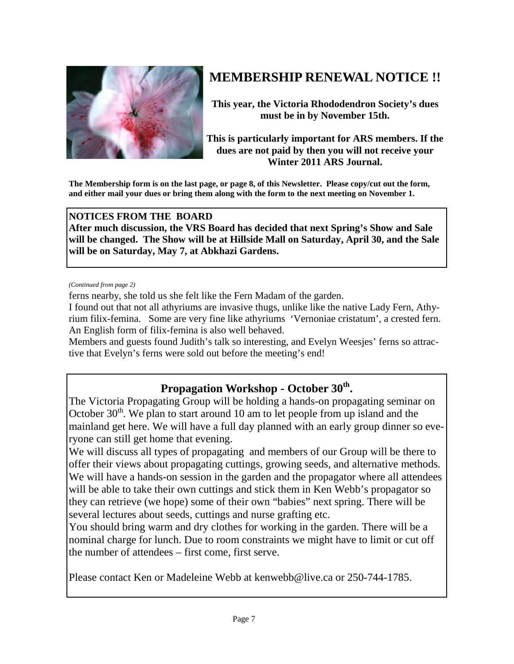

### **MEMBERSHIP RENEWAL NOTICE !!**

**This year, the Victoria Rhododendron Society's dues must be in by November 15th.** 

**This is particularly important for ARS members. If the dues are not paid by then you will not receive your Winter 2011 ARS Journal.** 

**The Membership form is on the last page, or page 8, of this Newsletter. Please copy/cut out the form, and either mail your dues or bring them along with the form to the next meeting on November 1.** 

#### **NOTICES FROM THE BOARD**

**After much discussion, the VRS Board has decided that next Spring's Show and Sale will be changed. The Show will be at Hillside Mall on Saturday, April 30, and the Sale will be on Saturday, May 7, at Abkhazi Gardens.** 

*(Continued from page 2)* 

ferns nearby, she told us she felt like the Fern Madam of the garden.

I found out that not all athyriums are invasive thugs, unlike like the native Lady Fern, Athyrium filix-femina. Some are very fine like athyriums 'Vernoniae cristatum', a crested fern. An English form of filix-femina is also well behaved.

Members and guests found Judith's talk so interesting, and Evelyn Weesjes' ferns so attractive that Evelyn's ferns were sold out before the meeting's end!

#### Propagation Workshop - October 30<sup>th</sup>.

The Victoria Propagating Group will be holding a hands-on propagating seminar on October  $30<sup>th</sup>$ . We plan to start around 10 am to let people from up island and the mainland get here. We will have a full day planned with an early group dinner so everyone can still get home that evening.

We will discuss all types of propagating and members of our Group will be there to offer their views about propagating cuttings, growing seeds, and alternative methods. We will have a hands-on session in the garden and the propagator where all attendees will be able to take their own cuttings and stick them in Ken Webb's propagator so they can retrieve (we hope) some of their own "babies" next spring. There will be several lectures about seeds, cuttings and nurse grafting etc.

You should bring warm and dry clothes for working in the garden. There will be a nominal charge for lunch. Due to room constraints we might have to limit or cut off the number of attendees – first come, first serve.

Please contact Ken or Madeleine Webb at kenwebb@live.ca or 250-744-1785.